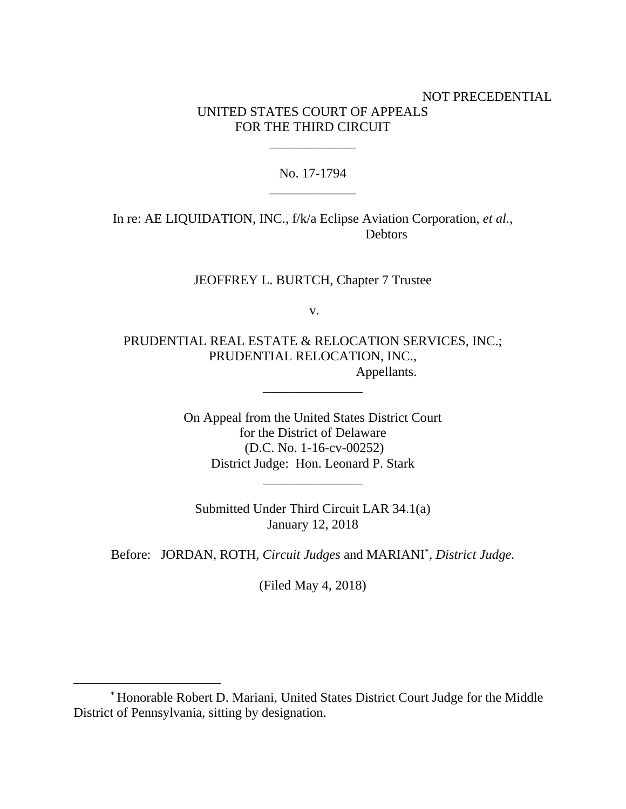## NOT PRECEDENTIAL UNITED STATES COURT OF APPEALS FOR THE THIRD CIRCUIT

No. 17-1794 \_\_\_\_\_\_\_\_\_\_\_\_\_

\_\_\_\_\_\_\_\_\_\_\_\_\_

In re: AE LIQUIDATION, INC., f/k/a Eclipse Aviation Corporation, *et al.*, **Debtors** 

JEOFFREY L. BURTCH, Chapter 7 Trustee

v.

PRUDENTIAL REAL ESTATE & RELOCATION SERVICES, INC.; PRUDENTIAL RELOCATION, INC., Appellants.

\_\_\_\_\_\_\_\_\_\_\_\_\_\_\_

On Appeal from the United States District Court for the District of Delaware (D.C. No. 1-16-cv-00252) District Judge: Hon. Leonard P. Stark

\_\_\_\_\_\_\_\_\_\_\_\_\_\_\_

Submitted Under Third Circuit LAR 34.1(a) January 12, 2018

Before: JORDAN, ROTH, *Circuit Judges* and MARIANI\* , *District Judge.*

(Filed May 4, 2018)

 $\overline{a}$ 

<sup>\*</sup> Honorable Robert D. Mariani, United States District Court Judge for the Middle District of Pennsylvania, sitting by designation.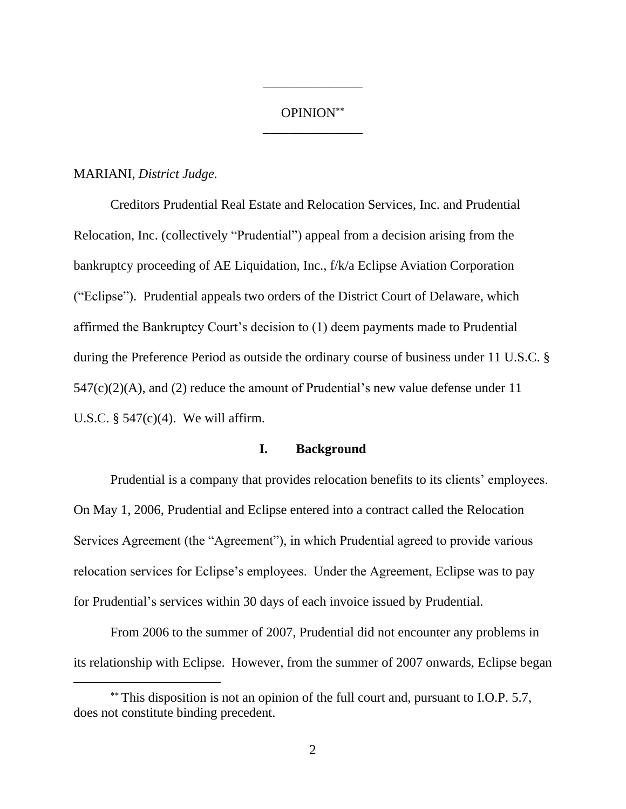# OPINION \_\_\_\_\_\_\_\_\_\_\_\_\_\_\_

\_\_\_\_\_\_\_\_\_\_\_\_\_\_\_

### MARIANI, *District Judge.*

 $\overline{a}$ 

Creditors Prudential Real Estate and Relocation Services, Inc. and Prudential Relocation, Inc. (collectively "Prudential") appeal from a decision arising from the bankruptcy proceeding of AE Liquidation, Inc., f/k/a Eclipse Aviation Corporation ("Eclipse"). Prudential appeals two orders of the District Court of Delaware, which affirmed the Bankruptcy Court's decision to (1) deem payments made to Prudential during the Preference Period as outside the ordinary course of business under 11 U.S.C. §  $547(c)(2)(A)$ , and (2) reduce the amount of Prudential's new value defense under 11 U.S.C. § 547(c)(4). We will affirm.

### **I. Background**

Prudential is a company that provides relocation benefits to its clients' employees. On May 1, 2006, Prudential and Eclipse entered into a contract called the Relocation Services Agreement (the "Agreement"), in which Prudential agreed to provide various relocation services for Eclipse's employees. Under the Agreement, Eclipse was to pay for Prudential's services within 30 days of each invoice issued by Prudential.

From 2006 to the summer of 2007, Prudential did not encounter any problems in its relationship with Eclipse. However, from the summer of 2007 onwards, Eclipse began

This disposition is not an opinion of the full court and, pursuant to I.O.P. 5.7, does not constitute binding precedent.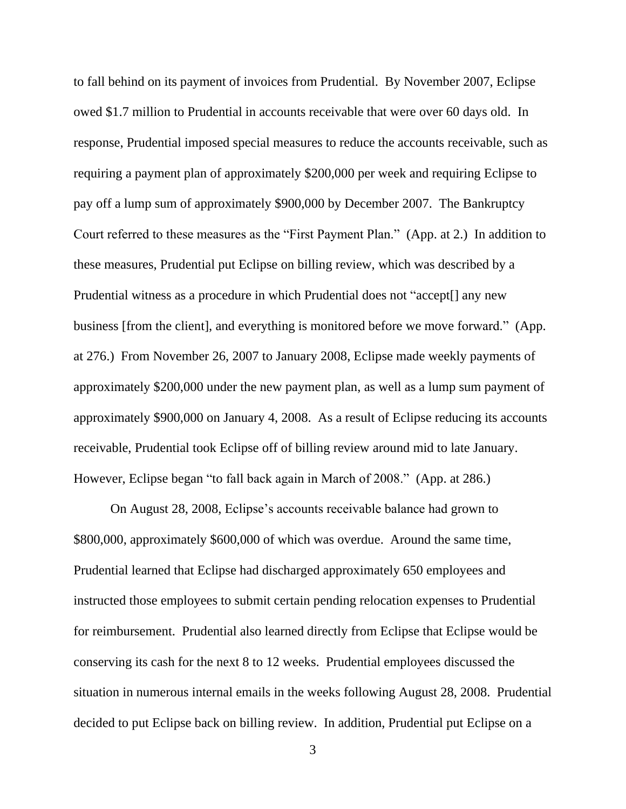to fall behind on its payment of invoices from Prudential. By November 2007, Eclipse owed \$1.7 million to Prudential in accounts receivable that were over 60 days old. In response, Prudential imposed special measures to reduce the accounts receivable, such as requiring a payment plan of approximately \$200,000 per week and requiring Eclipse to pay off a lump sum of approximately \$900,000 by December 2007. The Bankruptcy Court referred to these measures as the "First Payment Plan." (App. at 2.) In addition to these measures, Prudential put Eclipse on billing review, which was described by a Prudential witness as a procedure in which Prudential does not "accept[] any new business [from the client], and everything is monitored before we move forward." (App. at 276.) From November 26, 2007 to January 2008, Eclipse made weekly payments of approximately \$200,000 under the new payment plan, as well as a lump sum payment of approximately \$900,000 on January 4, 2008. As a result of Eclipse reducing its accounts receivable, Prudential took Eclipse off of billing review around mid to late January. However, Eclipse began "to fall back again in March of 2008." (App. at 286.)

On August 28, 2008, Eclipse's accounts receivable balance had grown to \$800,000, approximately \$600,000 of which was overdue. Around the same time, Prudential learned that Eclipse had discharged approximately 650 employees and instructed those employees to submit certain pending relocation expenses to Prudential for reimbursement. Prudential also learned directly from Eclipse that Eclipse would be conserving its cash for the next 8 to 12 weeks. Prudential employees discussed the situation in numerous internal emails in the weeks following August 28, 2008. Prudential decided to put Eclipse back on billing review. In addition, Prudential put Eclipse on a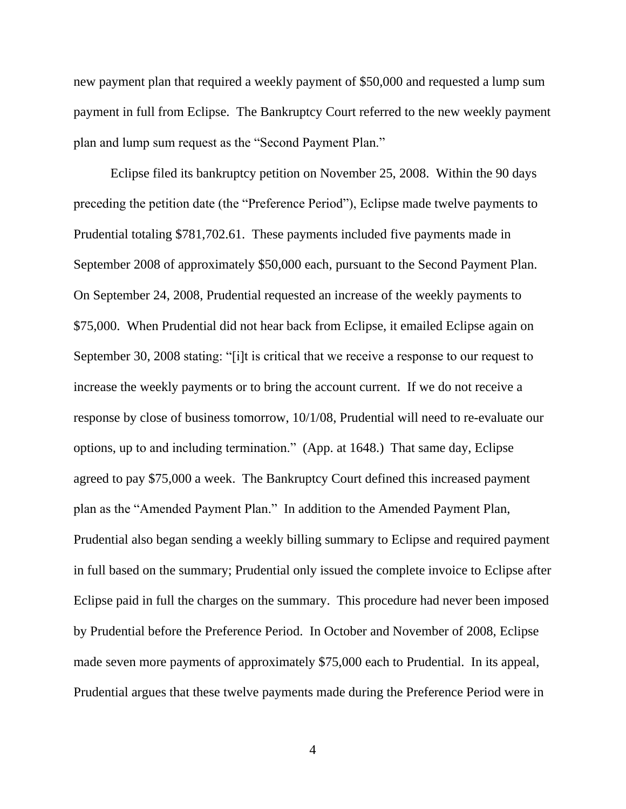new payment plan that required a weekly payment of \$50,000 and requested a lump sum payment in full from Eclipse. The Bankruptcy Court referred to the new weekly payment plan and lump sum request as the "Second Payment Plan."

Eclipse filed its bankruptcy petition on November 25, 2008. Within the 90 days preceding the petition date (the "Preference Period"), Eclipse made twelve payments to Prudential totaling \$781,702.61. These payments included five payments made in September 2008 of approximately \$50,000 each, pursuant to the Second Payment Plan. On September 24, 2008, Prudential requested an increase of the weekly payments to \$75,000. When Prudential did not hear back from Eclipse, it emailed Eclipse again on September 30, 2008 stating: "[i]t is critical that we receive a response to our request to increase the weekly payments or to bring the account current. If we do not receive a response by close of business tomorrow, 10/1/08, Prudential will need to re-evaluate our options, up to and including termination." (App. at 1648.) That same day, Eclipse agreed to pay \$75,000 a week. The Bankruptcy Court defined this increased payment plan as the "Amended Payment Plan." In addition to the Amended Payment Plan, Prudential also began sending a weekly billing summary to Eclipse and required payment in full based on the summary; Prudential only issued the complete invoice to Eclipse after Eclipse paid in full the charges on the summary. This procedure had never been imposed by Prudential before the Preference Period. In October and November of 2008, Eclipse made seven more payments of approximately \$75,000 each to Prudential. In its appeal, Prudential argues that these twelve payments made during the Preference Period were in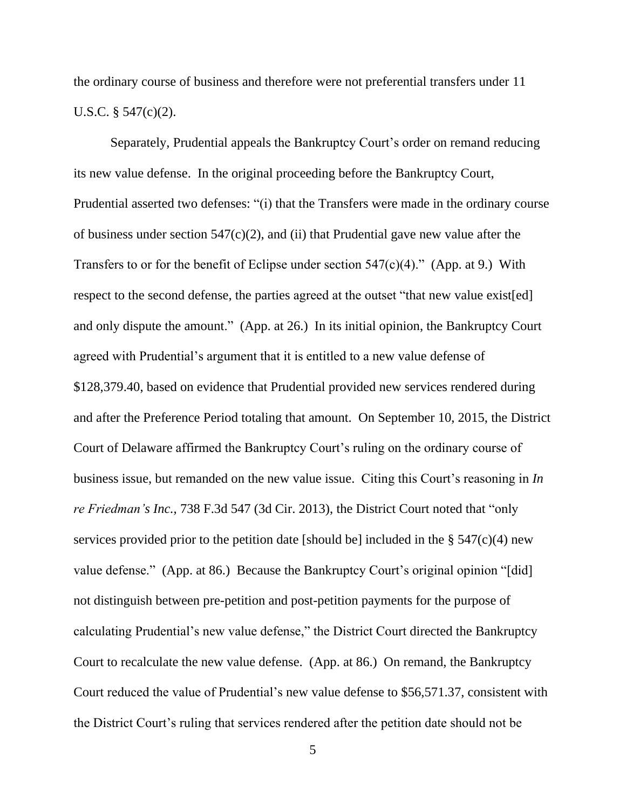the ordinary course of business and therefore were not preferential transfers under 11 U.S.C. § 547(c)(2).

Separately, Prudential appeals the Bankruptcy Court's order on remand reducing its new value defense. In the original proceeding before the Bankruptcy Court, Prudential asserted two defenses: "(i) that the Transfers were made in the ordinary course of business under section  $547(c)(2)$ , and (ii) that Prudential gave new value after the Transfers to or for the benefit of Eclipse under section  $547(c)(4)$ ." (App. at 9.) With respect to the second defense, the parties agreed at the outset "that new value exist[ed] and only dispute the amount." (App. at 26.) In its initial opinion, the Bankruptcy Court agreed with Prudential's argument that it is entitled to a new value defense of \$128,379.40, based on evidence that Prudential provided new services rendered during and after the Preference Period totaling that amount. On September 10, 2015, the District Court of Delaware affirmed the Bankruptcy Court's ruling on the ordinary course of business issue, but remanded on the new value issue. Citing this Court's reasoning in *In re Friedman's Inc.*, 738 F.3d 547 (3d Cir. 2013), the District Court noted that "only services provided prior to the petition date [should be] included in the  $\S$  547(c)(4) new value defense." (App. at 86.) Because the Bankruptcy Court's original opinion "[did] not distinguish between pre-petition and post-petition payments for the purpose of calculating Prudential's new value defense," the District Court directed the Bankruptcy Court to recalculate the new value defense. (App. at 86.) On remand, the Bankruptcy Court reduced the value of Prudential's new value defense to \$56,571.37, consistent with the District Court's ruling that services rendered after the petition date should not be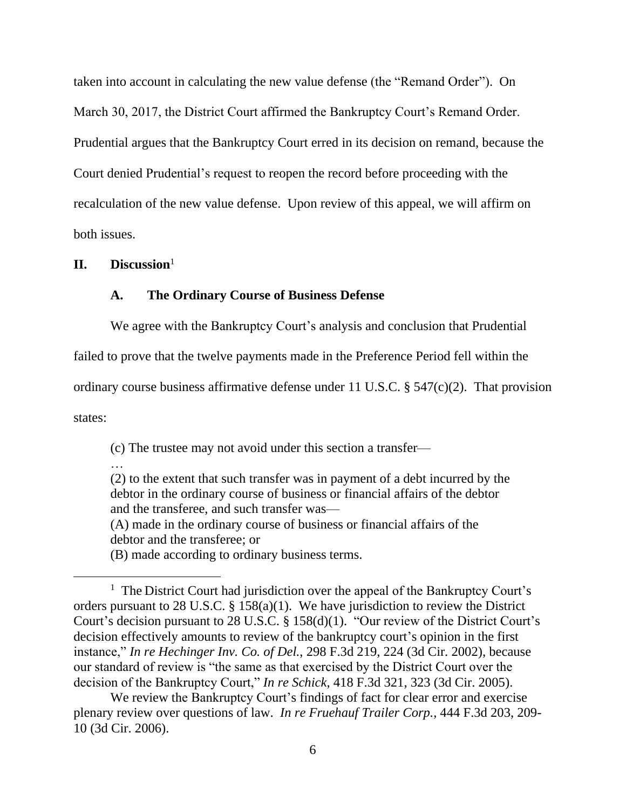taken into account in calculating the new value defense (the "Remand Order"). On March 30, 2017, the District Court affirmed the Bankruptcy Court's Remand Order. Prudential argues that the Bankruptcy Court erred in its decision on remand, because the Court denied Prudential's request to reopen the record before proceeding with the recalculation of the new value defense.Upon review of this appeal, we will affirm on both issues.

### **II. Discussion**<sup>1</sup>

### **A. The Ordinary Course of Business Defense**

We agree with the Bankruptcy Court's analysis and conclusion that Prudential

failed to prove that the twelve payments made in the Preference Period fell within the

ordinary course business affirmative defense under 11 U.S.C. § 547(c)(2). That provision

states:

(c) The trustee may not avoid under this section a transfer—

…

(2) to the extent that such transfer was in payment of a debt incurred by the debtor in the ordinary course of business or financial affairs of the debtor and the transferee, and such transfer was—

(A) made in the ordinary course of business or financial affairs of the debtor and the transferee; or

(B) made according to ordinary business terms.

We review the Bankruptcy Court's findings of fact for clear error and exercise plenary review over questions of law. *In re Fruehauf Trailer Corp.*, 444 F.3d 203, 209- 10 (3d Cir. 2006).

<sup>&</sup>lt;sup>1</sup> The District Court had jurisdiction over the appeal of the Bankruptcy Court's orders pursuant to 28 U.S.C. § 158(a)(1). We have jurisdiction to review the District Court's decision pursuant to 28 U.S.C. § 158(d)(1). "Our review of the District Court's decision effectively amounts to review of the bankruptcy court's opinion in the first instance," *In re Hechinger Inv. Co. of Del.*, 298 F.3d 219, 224 (3d Cir. 2002), because our standard of review is "the same as that exercised by the District Court over the decision of the Bankruptcy Court," *In re Schick*, 418 F.3d 321, 323 (3d Cir. 2005).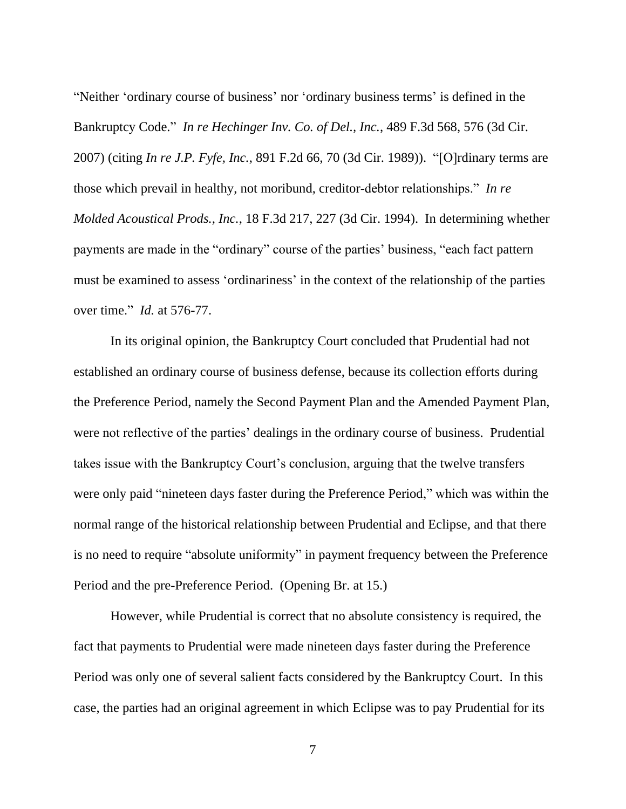"Neither 'ordinary course of business' nor 'ordinary business terms' is defined in the Bankruptcy Code." *In re Hechinger Inv. Co. of Del., Inc.*, 489 F.3d 568, 576 (3d Cir. 2007) (citing *In re J.P. Fyfe, Inc.*, 891 F.2d 66, 70 (3d Cir. 1989)). "[O]rdinary terms are those which prevail in healthy, not moribund, creditor-debtor relationships." *In re Molded Acoustical Prods., Inc.*, 18 F.3d 217, 227 (3d Cir. 1994). In determining whether payments are made in the "ordinary" course of the parties' business, "each fact pattern must be examined to assess 'ordinariness' in the context of the relationship of the parties over time." *Id.* at 576-77.

In its original opinion, the Bankruptcy Court concluded that Prudential had not established an ordinary course of business defense, because its collection efforts during the Preference Period, namely the Second Payment Plan and the Amended Payment Plan, were not reflective of the parties' dealings in the ordinary course of business. Prudential takes issue with the Bankruptcy Court's conclusion, arguing that the twelve transfers were only paid "nineteen days faster during the Preference Period," which was within the normal range of the historical relationship between Prudential and Eclipse, and that there is no need to require "absolute uniformity" in payment frequency between the Preference Period and the pre-Preference Period. (Opening Br. at 15.)

However, while Prudential is correct that no absolute consistency is required, the fact that payments to Prudential were made nineteen days faster during the Preference Period was only one of several salient facts considered by the Bankruptcy Court. In this case, the parties had an original agreement in which Eclipse was to pay Prudential for its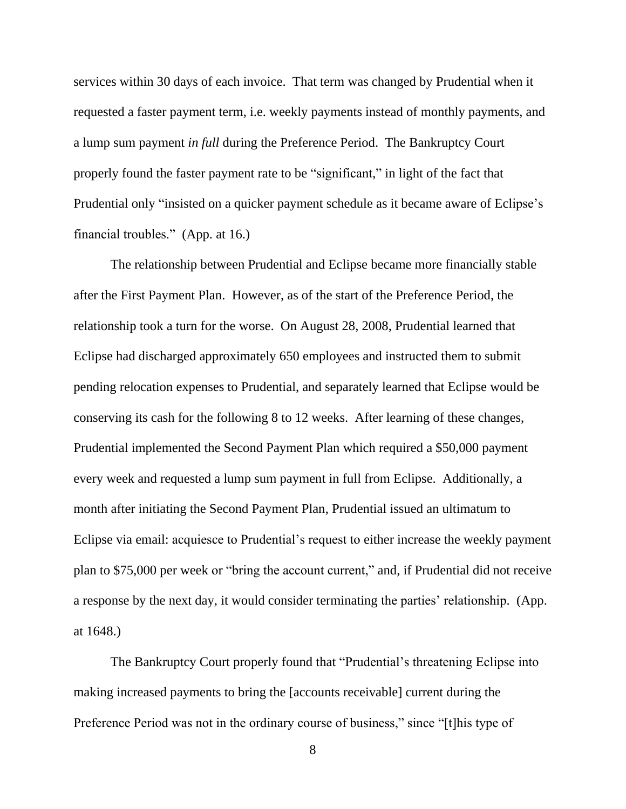services within 30 days of each invoice. That term was changed by Prudential when it requested a faster payment term, i.e. weekly payments instead of monthly payments, and a lump sum payment *in full* during the Preference Period. The Bankruptcy Court properly found the faster payment rate to be "significant," in light of the fact that Prudential only "insisted on a quicker payment schedule as it became aware of Eclipse's financial troubles." (App. at 16.)

The relationship between Prudential and Eclipse became more financially stable after the First Payment Plan. However, as of the start of the Preference Period, the relationship took a turn for the worse. On August 28, 2008, Prudential learned that Eclipse had discharged approximately 650 employees and instructed them to submit pending relocation expenses to Prudential, and separately learned that Eclipse would be conserving its cash for the following 8 to 12 weeks. After learning of these changes, Prudential implemented the Second Payment Plan which required a \$50,000 payment every week and requested a lump sum payment in full from Eclipse. Additionally, a month after initiating the Second Payment Plan, Prudential issued an ultimatum to Eclipse via email: acquiesce to Prudential's request to either increase the weekly payment plan to \$75,000 per week or "bring the account current," and, if Prudential did not receive a response by the next day, it would consider terminating the parties' relationship. (App. at 1648.)

The Bankruptcy Court properly found that "Prudential's threatening Eclipse into making increased payments to bring the [accounts receivable] current during the Preference Period was not in the ordinary course of business," since "[t]his type of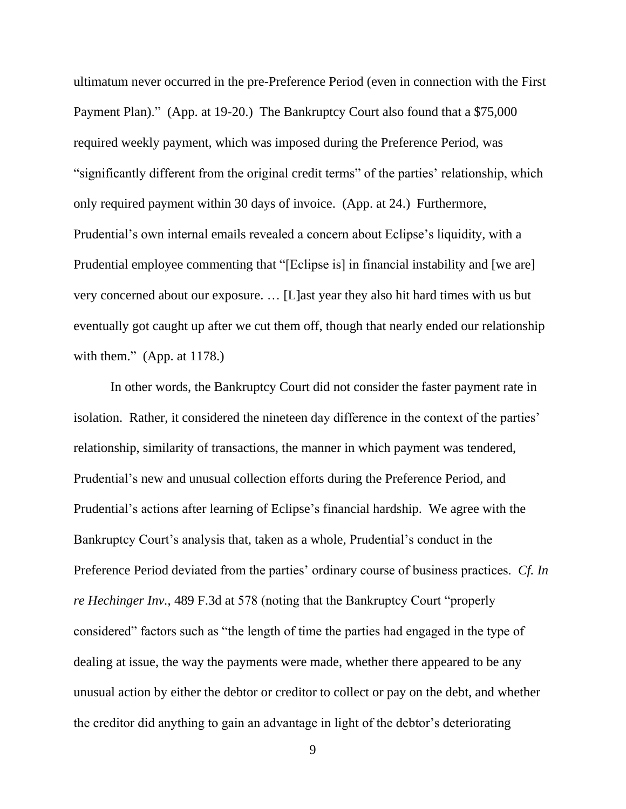ultimatum never occurred in the pre-Preference Period (even in connection with the First Payment Plan)." (App. at 19-20.) The Bankruptcy Court also found that a \$75,000 required weekly payment, which was imposed during the Preference Period, was "significantly different from the original credit terms" of the parties' relationship, which only required payment within 30 days of invoice. (App. at 24.) Furthermore, Prudential's own internal emails revealed a concern about Eclipse's liquidity, with a Prudential employee commenting that "[Eclipse is] in financial instability and [we are] very concerned about our exposure. … [L]ast year they also hit hard times with us but eventually got caught up after we cut them off, though that nearly ended our relationship with them." (App. at 1178.)

In other words, the Bankruptcy Court did not consider the faster payment rate in isolation. Rather, it considered the nineteen day difference in the context of the parties' relationship, similarity of transactions, the manner in which payment was tendered, Prudential's new and unusual collection efforts during the Preference Period, and Prudential's actions after learning of Eclipse's financial hardship. We agree with the Bankruptcy Court's analysis that, taken as a whole, Prudential's conduct in the Preference Period deviated from the parties' ordinary course of business practices. *Cf. In re Hechinger Inv.*, 489 F.3d at 578 (noting that the Bankruptcy Court "properly considered" factors such as "the length of time the parties had engaged in the type of dealing at issue, the way the payments were made, whether there appeared to be any unusual action by either the debtor or creditor to collect or pay on the debt, and whether the creditor did anything to gain an advantage in light of the debtor's deteriorating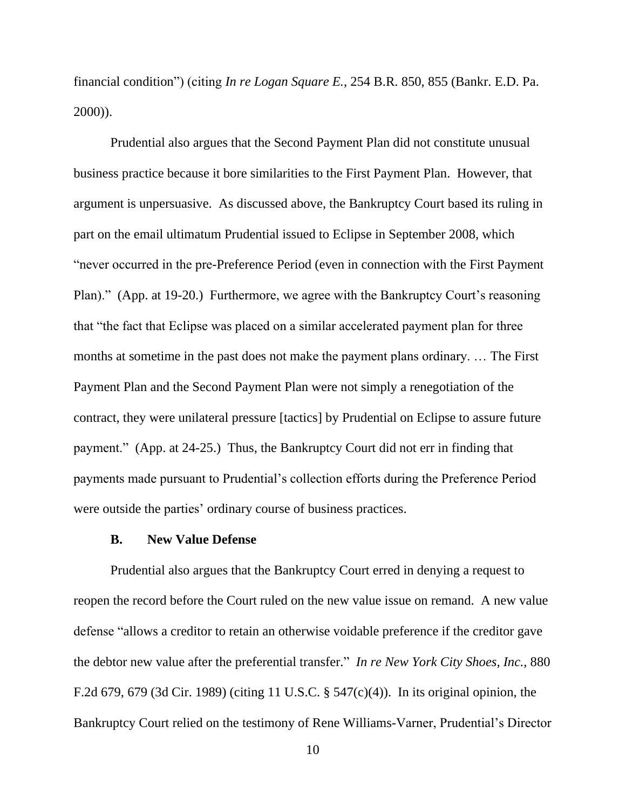financial condition") (citing *In re Logan Square E.*, 254 B.R. 850, 855 (Bankr. E.D. Pa. 2000)).

Prudential also argues that the Second Payment Plan did not constitute unusual business practice because it bore similarities to the First Payment Plan. However, that argument is unpersuasive. As discussed above, the Bankruptcy Court based its ruling in part on the email ultimatum Prudential issued to Eclipse in September 2008, which "never occurred in the pre-Preference Period (even in connection with the First Payment Plan)." (App. at 19-20.) Furthermore, we agree with the Bankruptcy Court's reasoning that "the fact that Eclipse was placed on a similar accelerated payment plan for three months at sometime in the past does not make the payment plans ordinary. … The First Payment Plan and the Second Payment Plan were not simply a renegotiation of the contract, they were unilateral pressure [tactics] by Prudential on Eclipse to assure future payment." (App. at 24-25.) Thus, the Bankruptcy Court did not err in finding that payments made pursuant to Prudential's collection efforts during the Preference Period were outside the parties' ordinary course of business practices.

#### **B. New Value Defense**

Prudential also argues that the Bankruptcy Court erred in denying a request to reopen the record before the Court ruled on the new value issue on remand.A new value defense "allows a creditor to retain an otherwise voidable preference if the creditor gave the debtor new value after the preferential transfer." *In re New York City Shoes, Inc.*, 880 F.2d 679, 679 (3d Cir. 1989) (citing 11 U.S.C. § 547(c)(4)). In its original opinion, the Bankruptcy Court relied on the testimony of Rene Williams-Varner, Prudential's Director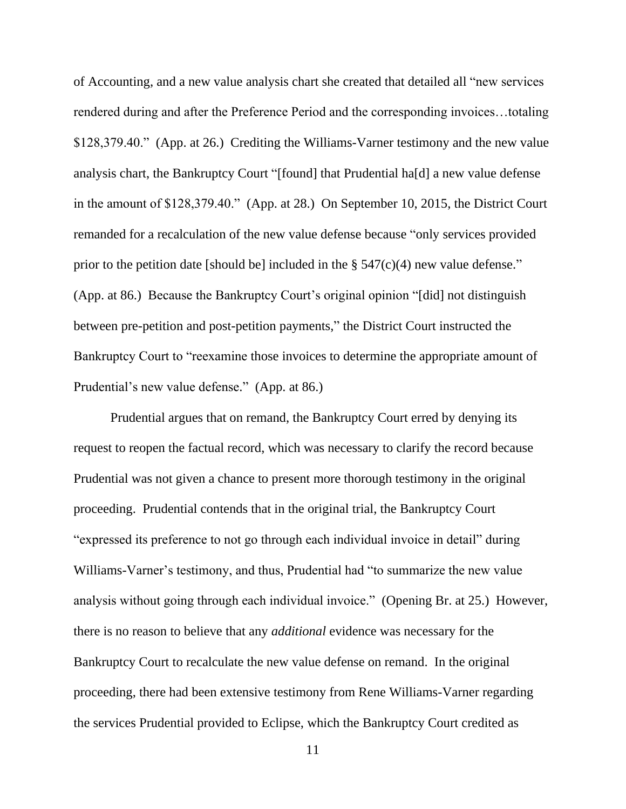of Accounting, and a new value analysis chart she created that detailed all "new services rendered during and after the Preference Period and the corresponding invoices…totaling \$128,379.40." (App. at 26.) Crediting the Williams-Varner testimony and the new value analysis chart, the Bankruptcy Court "[found] that Prudential ha[d] a new value defense in the amount of \$128,379.40." (App. at 28.) On September 10, 2015, the District Court remanded for a recalculation of the new value defense because "only services provided prior to the petition date [should be] included in the  $\S$  547(c)(4) new value defense." (App. at 86.) Because the Bankruptcy Court's original opinion "[did] not distinguish between pre-petition and post-petition payments," the District Court instructed the Bankruptcy Court to "reexamine those invoices to determine the appropriate amount of Prudential's new value defense." (App. at 86.)

Prudential argues that on remand, the Bankruptcy Court erred by denying its request to reopen the factual record, which was necessary to clarify the record because Prudential was not given a chance to present more thorough testimony in the original proceeding. Prudential contends that in the original trial, the Bankruptcy Court "expressed its preference to not go through each individual invoice in detail" during Williams-Varner's testimony, and thus, Prudential had "to summarize the new value analysis without going through each individual invoice." (Opening Br. at 25.) However, there is no reason to believe that any *additional* evidence was necessary for the Bankruptcy Court to recalculate the new value defense on remand. In the original proceeding, there had been extensive testimony from Rene Williams-Varner regarding the services Prudential provided to Eclipse, which the Bankruptcy Court credited as